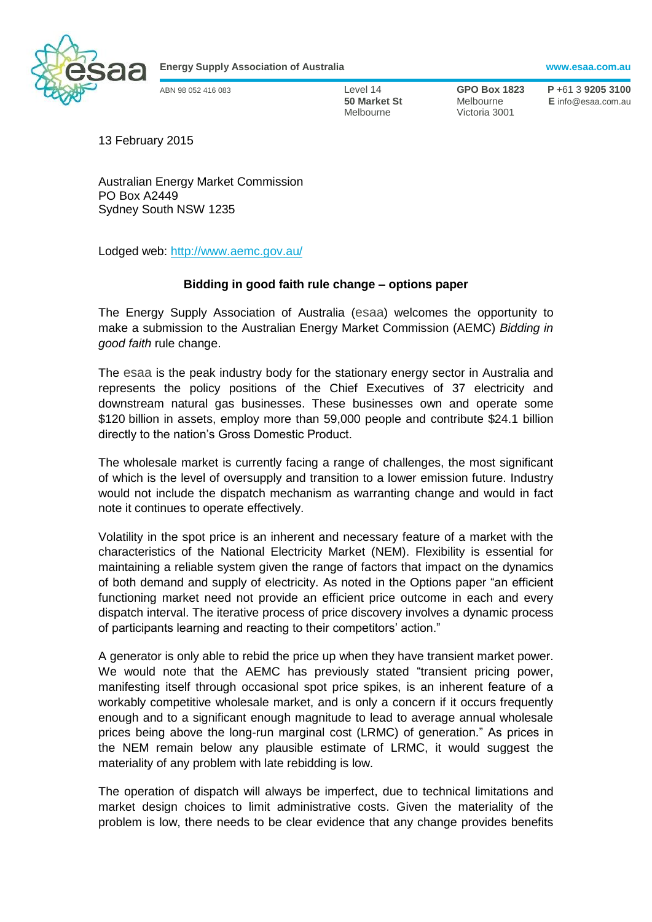

**Energy Supply Association of Australia www.esaa.com.au**

Melbourne Victoria 3001

ABN 98 052 416 083 Level 14 **GPO Box 1823 P** +61 3 **9205 3100 50 Market St** Melbourne **E** info@esaa.com.au

13 February 2015

Australian Energy Market Commission PO Box A2449 Sydney South NSW 1235

Lodged web: <http://www.aemc.gov.au/>

# **Bidding in good faith rule change – options paper**

The Energy Supply Association of Australia (esaa) welcomes the opportunity to make a submission to the Australian Energy Market Commission (AEMC) *Bidding in good faith* rule change.

The esaa is the peak industry body for the stationary energy sector in Australia and represents the policy positions of the Chief Executives of 37 electricity and downstream natural gas businesses. These businesses own and operate some \$120 billion in assets, employ more than 59,000 people and contribute \$24.1 billion directly to the nation's Gross Domestic Product.

The wholesale market is currently facing a range of challenges, the most significant of which is the level of oversupply and transition to a lower emission future. Industry would not include the dispatch mechanism as warranting change and would in fact note it continues to operate effectively.

Volatility in the spot price is an inherent and necessary feature of a market with the characteristics of the National Electricity Market (NEM). Flexibility is essential for maintaining a reliable system given the range of factors that impact on the dynamics of both demand and supply of electricity. As noted in the Options paper "an efficient functioning market need not provide an efficient price outcome in each and every dispatch interval. The iterative process of price discovery involves a dynamic process of participants learning and reacting to their competitors' action."

A generator is only able to rebid the price up when they have transient market power. We would note that the AEMC has previously stated "transient pricing power, manifesting itself through occasional spot price spikes, is an inherent feature of a workably competitive wholesale market, and is only a concern if it occurs frequently enough and to a significant enough magnitude to lead to average annual wholesale prices being above the long-run marginal cost (LRMC) of generation." As prices in the NEM remain below any plausible estimate of LRMC, it would suggest the materiality of any problem with late rebidding is low.

The operation of dispatch will always be imperfect, due to technical limitations and market design choices to limit administrative costs. Given the materiality of the problem is low, there needs to be clear evidence that any change provides benefits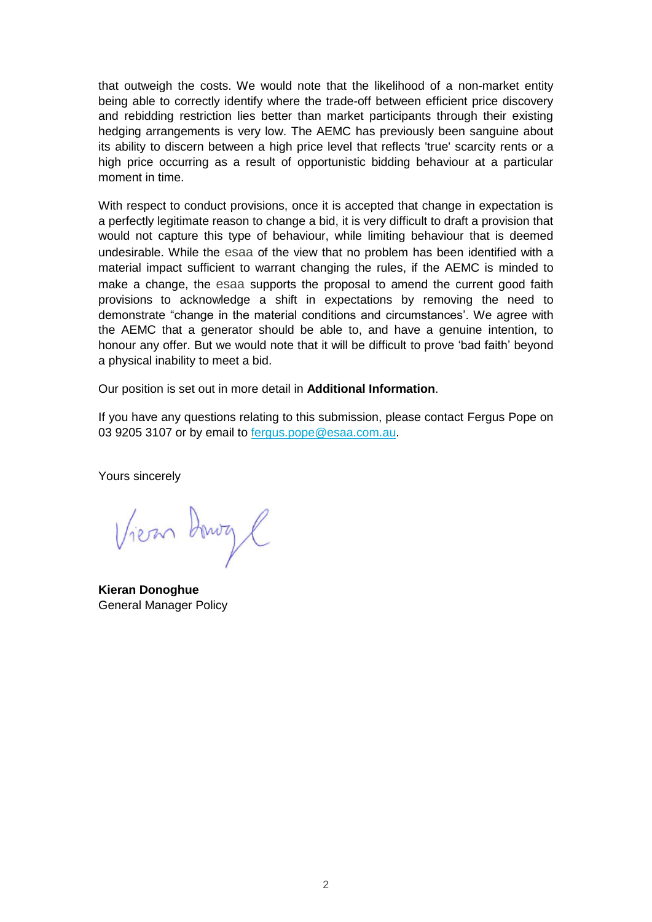that outweigh the costs. We would note that the likelihood of a non-market entity being able to correctly identify where the trade-off between efficient price discovery and rebidding restriction lies better than market participants through their existing hedging arrangements is very low. The AEMC has previously been sanguine about its ability to discern between a high price level that reflects 'true' scarcity rents or a high price occurring as a result of opportunistic bidding behaviour at a particular moment in time.

With respect to conduct provisions, once it is accepted that change in expectation is a perfectly legitimate reason to change a bid, it is very difficult to draft a provision that would not capture this type of behaviour, while limiting behaviour that is deemed undesirable. While the esaa of the view that no problem has been identified with a material impact sufficient to warrant changing the rules, if the AEMC is minded to make a change, the esaa supports the proposal to amend the current good faith provisions to acknowledge a shift in expectations by removing the need to demonstrate "change in the material conditions and circumstances'. We agree with the AEMC that a generator should be able to, and have a genuine intention, to honour any offer. But we would note that it will be difficult to prove 'bad faith' beyond a physical inability to meet a bid.

Our position is set out in more detail in **Additional Information**.

If you have any questions relating to this submission, please contact Fergus Pope on 03 9205 3107 or by email to **fergus.pope@esaa.com.au.** 

Yours sincerely

Vien Dowy C

**Kieran Donoghue**  General Manager Policy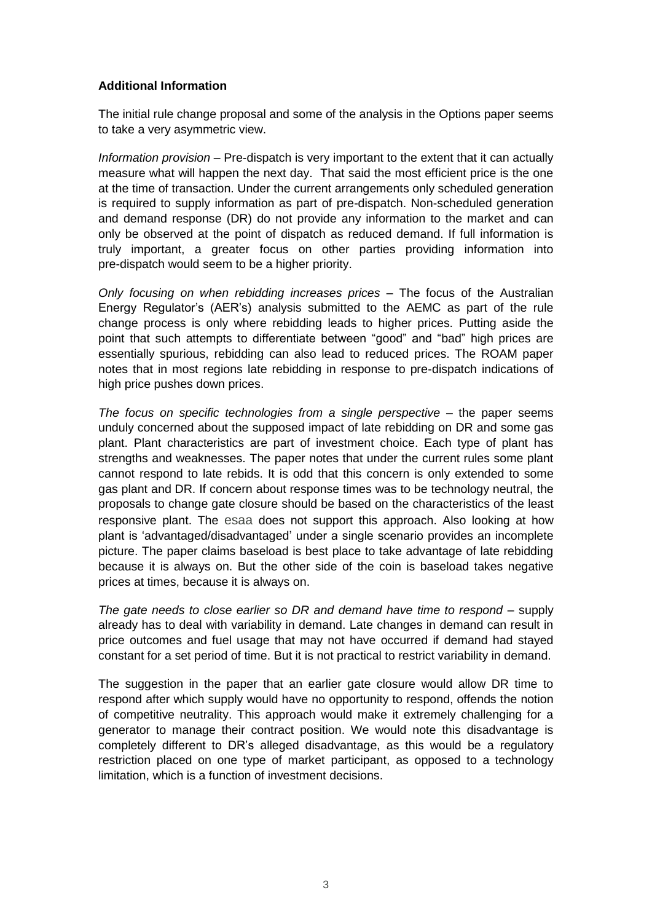# **Additional Information**

The initial rule change proposal and some of the analysis in the Options paper seems to take a very asymmetric view.

*Information provision* – Pre-dispatch is very important to the extent that it can actually measure what will happen the next day. That said the most efficient price is the one at the time of transaction. Under the current arrangements only scheduled generation is required to supply information as part of pre-dispatch. Non-scheduled generation and demand response (DR) do not provide any information to the market and can only be observed at the point of dispatch as reduced demand. If full information is truly important, a greater focus on other parties providing information into pre-dispatch would seem to be a higher priority.

*Only focusing on when rebidding increases prices* – The focus of the Australian Energy Regulator's (AER's) analysis submitted to the AEMC as part of the rule change process is only where rebidding leads to higher prices. Putting aside the point that such attempts to differentiate between "good" and "bad" high prices are essentially spurious, rebidding can also lead to reduced prices. The ROAM paper notes that in most regions late rebidding in response to pre-dispatch indications of high price pushes down prices.

*The focus on specific technologies from a single perspective* – the paper seems unduly concerned about the supposed impact of late rebidding on DR and some gas plant. Plant characteristics are part of investment choice. Each type of plant has strengths and weaknesses. The paper notes that under the current rules some plant cannot respond to late rebids. It is odd that this concern is only extended to some gas plant and DR. If concern about response times was to be technology neutral, the proposals to change gate closure should be based on the characteristics of the least responsive plant. The esaa does not support this approach. Also looking at how plant is 'advantaged/disadvantaged' under a single scenario provides an incomplete picture. The paper claims baseload is best place to take advantage of late rebidding because it is always on. But the other side of the coin is baseload takes negative prices at times, because it is always on.

*The gate needs to close earlier so DR and demand have time to respond* – supply already has to deal with variability in demand. Late changes in demand can result in price outcomes and fuel usage that may not have occurred if demand had stayed constant for a set period of time. But it is not practical to restrict variability in demand.

The suggestion in the paper that an earlier gate closure would allow DR time to respond after which supply would have no opportunity to respond, offends the notion of competitive neutrality. This approach would make it extremely challenging for a generator to manage their contract position. We would note this disadvantage is completely different to DR's alleged disadvantage, as this would be a regulatory restriction placed on one type of market participant, as opposed to a technology limitation, which is a function of investment decisions.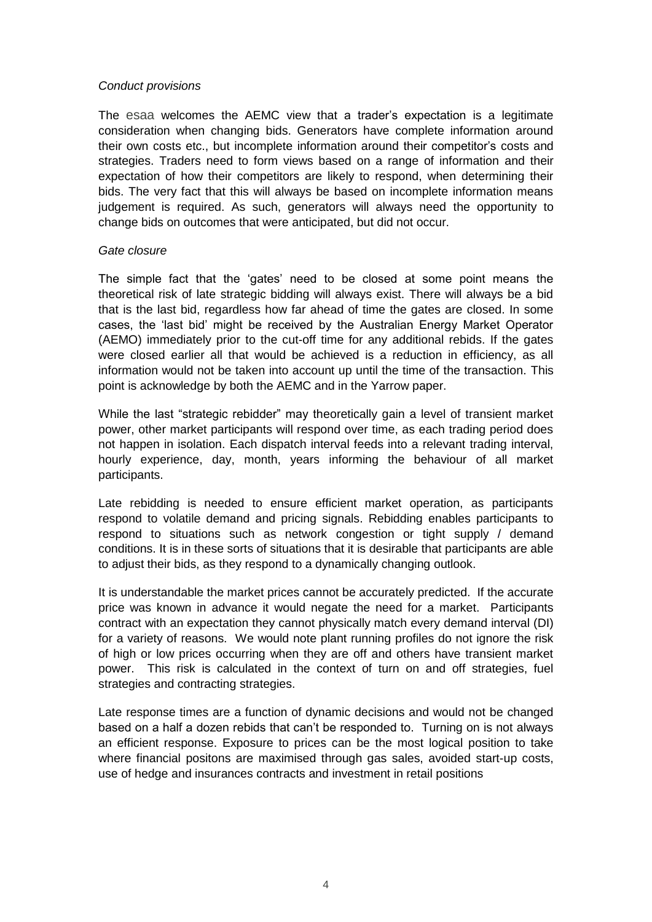## *Conduct provisions*

The esaa welcomes the AEMC view that a trader's expectation is a legitimate consideration when changing bids. Generators have complete information around their own costs etc., but incomplete information around their competitor's costs and strategies. Traders need to form views based on a range of information and their expectation of how their competitors are likely to respond, when determining their bids. The very fact that this will always be based on incomplete information means judgement is required. As such, generators will always need the opportunity to change bids on outcomes that were anticipated, but did not occur.

### *Gate closure*

The simple fact that the 'gates' need to be closed at some point means the theoretical risk of late strategic bidding will always exist. There will always be a bid that is the last bid, regardless how far ahead of time the gates are closed. In some cases, the 'last bid' might be received by the Australian Energy Market Operator (AEMO) immediately prior to the cut-off time for any additional rebids. If the gates were closed earlier all that would be achieved is a reduction in efficiency, as all information would not be taken into account up until the time of the transaction. This point is acknowledge by both the AEMC and in the Yarrow paper.

While the last "strategic rebidder" may theoretically gain a level of transient market power, other market participants will respond over time, as each trading period does not happen in isolation. Each dispatch interval feeds into a relevant trading interval, hourly experience, day, month, years informing the behaviour of all market participants.

Late rebidding is needed to ensure efficient market operation, as participants respond to volatile demand and pricing signals. Rebidding enables participants to respond to situations such as network congestion or tight supply / demand conditions. It is in these sorts of situations that it is desirable that participants are able to adjust their bids, as they respond to a dynamically changing outlook.

It is understandable the market prices cannot be accurately predicted. If the accurate price was known in advance it would negate the need for a market. Participants contract with an expectation they cannot physically match every demand interval (DI) for a variety of reasons. We would note plant running profiles do not ignore the risk of high or low prices occurring when they are off and others have transient market power. This risk is calculated in the context of turn on and off strategies, fuel strategies and contracting strategies.

Late response times are a function of dynamic decisions and would not be changed based on a half a dozen rebids that can't be responded to. Turning on is not always an efficient response. Exposure to prices can be the most logical position to take where financial positons are maximised through gas sales, avoided start-up costs, use of hedge and insurances contracts and investment in retail positions